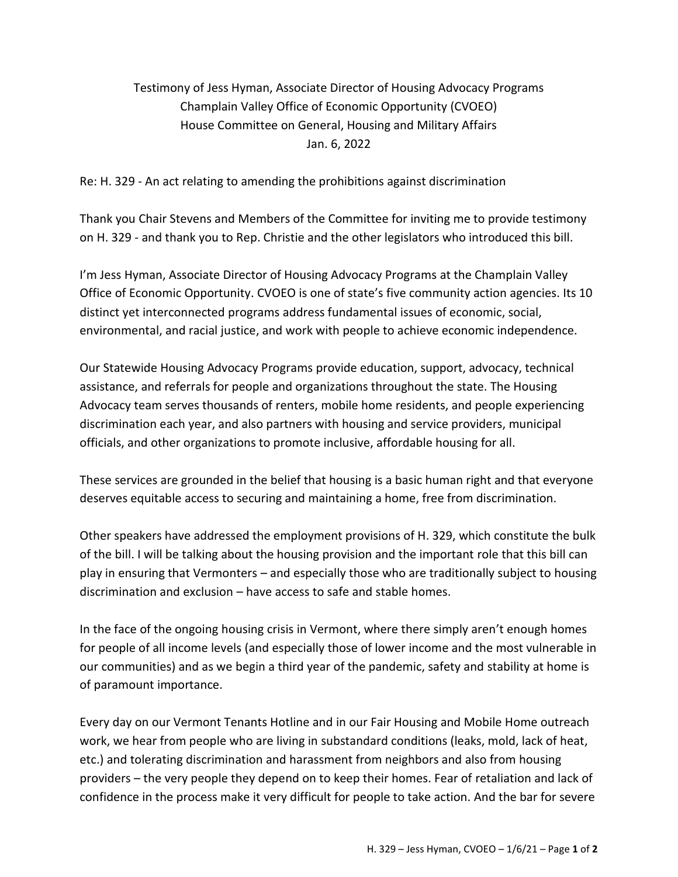## Testimony of Jess Hyman, Associate Director of Housing Advocacy Programs Champlain Valley Office of Economic Opportunity (CVOEO) House Committee on General, Housing and Military Affairs Jan. 6, 2022

Re: H. 329 - An act relating to amending the prohibitions against discrimination

Thank you Chair Stevens and Members of the Committee for inviting me to provide testimony on H. 329 - and thank you to Rep. Christie and the other legislators who introduced this bill.

I'm Jess Hyman, Associate Director of Housing Advocacy Programs at the Champlain Valley Office of Economic Opportunity. CVOEO is one of state's five community action agencies. Its 10 distinct yet interconnected programs address fundamental issues of economic, social, environmental, and racial justice, and work with people to achieve economic independence.

Our Statewide Housing Advocacy Programs provide education, support, advocacy, technical assistance, and referrals for people and organizations throughout the state. The Housing Advocacy team serves thousands of renters, mobile home residents, and people experiencing discrimination each year, and also partners with housing and service providers, municipal officials, and other organizations to promote inclusive, affordable housing for all.

These services are grounded in the belief that housing is a basic human right and that everyone deserves equitable access to securing and maintaining a home, free from discrimination.

Other speakers have addressed the employment provisions of H. 329, which constitute the bulk of the bill. I will be talking about the housing provision and the important role that this bill can play in ensuring that Vermonters – and especially those who are traditionally subject to housing discrimination and exclusion – have access to safe and stable homes.

In the face of the ongoing housing crisis in Vermont, where there simply aren't enough homes for people of all income levels (and especially those of lower income and the most vulnerable in our communities) and as we begin a third year of the pandemic, safety and stability at home is of paramount importance.

Every day on our Vermont Tenants Hotline and in our Fair Housing and Mobile Home outreach work, we hear from people who are living in substandard conditions (leaks, mold, lack of heat, etc.) and tolerating discrimination and harassment from neighbors and also from housing providers – the very people they depend on to keep their homes. Fear of retaliation and lack of confidence in the process make it very difficult for people to take action. And the bar for severe